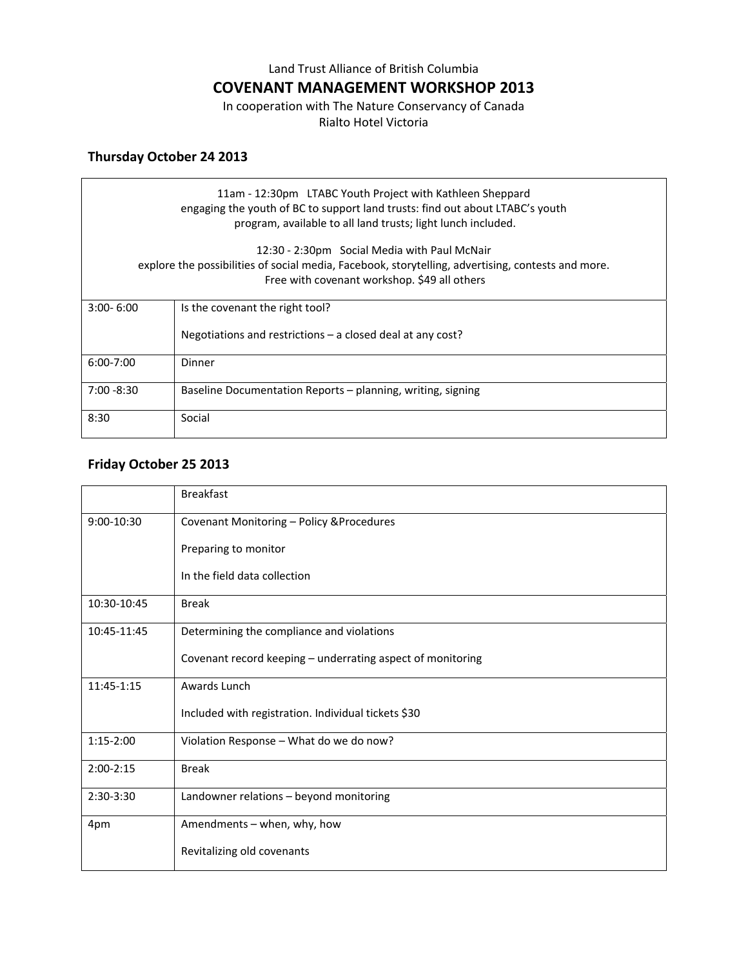Land Trust Alliance of British Columbia

### **COVENANT MANAGEMENT WORKSHOP 2013**

In cooperation with The Nature Conservancy of Canada Rialto Hotel Victoria

# **Thursday October 24 2013**

| 11am - 12:30pm LTABC Youth Project with Kathleen Sheppard<br>engaging the youth of BC to support land trusts: find out about LTABC's youth<br>program, available to all land trusts; light lunch included. |                                                              |  |
|------------------------------------------------------------------------------------------------------------------------------------------------------------------------------------------------------------|--------------------------------------------------------------|--|
| 12:30 - 2:30pm Social Media with Paul McNair<br>explore the possibilities of social media, Facebook, storytelling, advertising, contests and more.<br>Free with covenant workshop. \$49 all others         |                                                              |  |
| $3:00 - 6:00$                                                                                                                                                                                              | Is the covenant the right tool?                              |  |
|                                                                                                                                                                                                            | Negotiations and restrictions $-$ a closed deal at any cost? |  |
| $6:00 - 7:00$                                                                                                                                                                                              | Dinner                                                       |  |
| $7:00 - 8:30$                                                                                                                                                                                              | Baseline Documentation Reports – planning, writing, signing  |  |
| 8:30                                                                                                                                                                                                       | Social                                                       |  |

## **Friday October 25 2013**

|             | <b>Breakfast</b>                                           |
|-------------|------------------------------------------------------------|
| 9:00-10:30  | Covenant Monitoring - Policy & Procedures                  |
|             | Preparing to monitor                                       |
|             | In the field data collection                               |
| 10:30-10:45 | <b>Break</b>                                               |
| 10:45-11:45 | Determining the compliance and violations                  |
|             | Covenant record keeping - underrating aspect of monitoring |
| 11:45-1:15  | Awards Lunch                                               |
|             | Included with registration. Individual tickets \$30        |
| $1:15-2:00$ | Violation Response - What do we do now?                    |
| $2:00-2:15$ | <b>Break</b>                                               |
| $2:30-3:30$ | Landowner relations - beyond monitoring                    |
| 4pm         | Amendments - when, why, how                                |
|             | Revitalizing old covenants                                 |